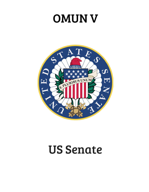# OMUN V



## US Senate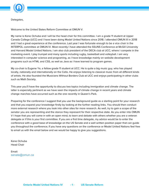

Delegates,

Welcome to the United States Reform Committee at OMUN V.

My name is Kene Ochuba and I will be the head chair for this committee. I am a grade 11 student at Upper Canada College (UCC) and I have been doing Model United Nations since 2018. I attended OMUN III in 2018 and I had a great experience at the conference. Last year I was fortunate enough to be a vice chair in the INTERPOL committee at OMUN IV. Most recently I have attended the SSUNS Conference at McGill University and Harvard Model United Nations. I am also club president of the DECA club at UCC, where I compete in the marketing event. I play trumpet and many sports including rugby, basketball and volleyball. I am very interested in computer science and programing, as I have knowledge mainly on website development programs such as HTML and CSS, as well as Java as I have learned to program games.

My co-chair is Eugene Ye, a fellow grade 11 student at UCC. He is quite a big music guy, who has played locally, nationally and internationally on the Cello. He enjoys listening to classical music from all different kinds of artists. He also founded the Musicians Without Borders Club at UCC and enjoys participating in other clubs such as Math Society.

This year you'll have the opportunity to discuss two topics including immigration and climate change. The latter is especially pertinent as we have seen the impacts of climate change in recent years and climate change marches have occurred such as the one recently in Queen's Park.

Preparing for the conference I suggest that you use the background guide as a starting point for your research and that you expand your knowledge firstly by looking at the further reading links. You should then conduct more external research where you look into other sites for more research. As well, try to gain a scope of the senator you are representing and the stance they represent for their respective state. As you enter into OMUN V I hope that you will come in with an open mind, to learn and debate with others whether you are a veteran delegate or if this is your first committee. If you are a first time delegate, my advice would be to enter the conference with a good base of knowledge on the US Senate and a well written position paper that can guide you throughout the conference; if you have any questions on the conference or Model United Nations feel free to email us with the email below and we would be happy to give you suggestions.

Kene Ochuba Head Chair

Email: senate@omun.ca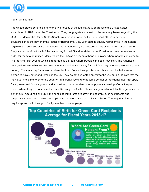

Topic 1: Immigration

The United States Senate is one of the two houses of the legislature (Congress) of the United States, established in 1789 under the Constitution. They congregate and meet to discuss many issues regarding the USA. The idea of the United States Senate was brought to life by the Founding Fathers in order to counterbalance the power of the House of Representatives. Each state is equally represented in the Senate regardless of size, and since the Seventeenth Amendment, are elected directly by the voters of each state. They are responsible for all of the lawmaking in the US and as stated in the Constitution vote on treaties in order for them to be ratified. Many regard the USA as a beacon of hope or a place where people can come to live the American Dream, which is regarded as a dream where people can get a fresh start. The American Immigration system has evolved over the years and acts as a way for the US. to regulate people entering their country. The main way for immigrants to enter the USA are through visas, which are permits that allow a person to travel, enter and remain in the US. They do not guarantee entry into the US, but do indicate that the individual is eligible to enter the country. Immigrants seeking to become permanent residents must first apply for a green card. Once a green card is obtained, these residents can apply for citizenship after a five year period where they do not commit a crime. Recently, the United States has granted about 1 million green cards per annum. About half end up in the hands of immigrants already in the country, such as students and temporary workers and the rest for applicants that are outside of the United States. The majority of visas require sponsorship through a family member or an employer.



## **Top Countries of Birth for Green-Card Recipients Average for Fiscal Years 2013-17**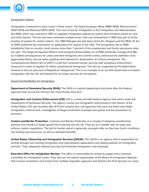

## Immigration History

Immigration is believed to have come in three waves: The Great European Wave (1880-1930), Retrenchment (1930-1970) and Rebound (1970-2010). The core of law for immigration is the Immigration and Naturalization Act (INA), which was enacted in 1952 to regulate immigration policies to reduce discrimination based on race and other factors. The Act has been amended multiple times, with one amendment in 1965 that got rid of the practice of quotas for certain nations. The 1980 Refugee Act laid down terms for refugees and the REAL ID Act of 2005 bolstered the restrictions on applications for asylum in the USA. The Immigration Act of 1990, established that no country could receive more than 7 percent of the employment and family sponsored visas per year. The Illegal Immigration Reform and Immigrant Resonsibility act of 1996 drastically changed the INA as it added consequences for undocumented immigrans who commit crimes, enhanced the definition of an aggravated felony and set down guidlines that allowed for deportaition of criminal immigrants. The Comprehensive Reform Act of 2007 is a bill that combined border security with workplace enforcement measures in order to legalize 12 million unauthorized immigrants. The bill was supported by President Bush, however it did not pass due to Republican disapproval. This is an example of an act that would have increased immigration into the US, and allowed for an easier process for immigrants.

## Governmental Bodies for Immigration

**Department of Homeland Security (DHS):** The DHS is a cabinet department that looks after the federal agencies that secure the US from the many threats they face.

**Immigration and Customs Enforcement (ICE):** ICE is a newly founded federal agency that works under the Department of Homeland Security. The agency carries out immigration enforcement in the interior of the United States. ICE was founded after 9/11 and contains four sub-agencies that carry out three main tasks: immigration enforcement, investigation of illegal movement of people and goods and the prevention of terrorism.

**Custom and Border Protection:** Customs and Border Protection is in charge of stopping unauthorized persons and harmful or illegal goods from entering into the US. They act as a middle man for trade and enforce custom regulations. The job for border patrol is generally unsought after as they face harsh conditions, low funding and resources, as well as standard benefits.

**United States Citizenship and Immigration Services (USCIS):** The USCIS is an agency that is responsible for sorting through and caching immigraiton and naturalization applications and setting policies for immigraiton services. They safeguard national security and eliminate immigration case backlogs.

**Executive Office for Immigration Review:** This office is responsible for acting as judges and a reviewal committee for immigration cases. They also are the parent organization of the Board of Immigration Appeals that reviews resolutions and arrests from multiple imigration agencies and delivers the final decision on cases.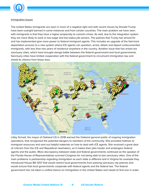

## Immigration Issues

The United States immigrants are seen in more of a negative light and with recent moves by Donald Trump have been outright banned in some instances and from certain countries. The main problem we have seen with immigrants is that they have a higher propensity to commit crimes. As well, due to the integration system they are more likely to work in low-wage and low-status job sectors. The policies that Trump has strived for and has implemented give more power to federal immigrant agents. This includes an upgrade of the fast-track deportation process to a new system where ICE agents can question, arrest, detain and deport undocumented immigrants, with less than two years of residence anywhere in the country. Another issue that has arised are sanctuary cities, which have brought alonga battle between the federal government and local governments. Sanctuary cities have limited cooperation with the federal government to circumvent immigration law and shield its citizens from these laws.



Libby Schaaf, the mayor of Oakland CA in 2018 warned the Oakland general public of ongoing immigration operations, that recognized the potential dangers to members of the community. She provided hotlines to immigrant resources and sent out helpful materials on how to deal with ICE agents. She received a great deal of criticism from the ICE and Republican lawmakers, as it makes their jobs harder and endangers federal agents and the public. More discrepancy between state and federal governments continued as the speaker of the Florida House of Representatives scorned Congress for not being able to ban sanctuary cities. One of the main problems is partisanship regarding immigration as each state is different and in Virginia for example they introduced House Bill 1257 that would restrict local governments from passing sanctuary city policies and would ensure that local governments cooperate with federal agents and the federal law. The federal government has not taken a unified stance on immigration in the United States and needs to find one in order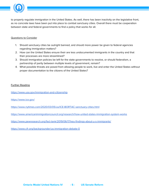

to properly regulate immigration in the United States. As well, there has been inactivity on the legislative front, as no concrete laws have been put into place to combat sanctuary cities. Overall there must be cooperation between state and federal governments to find a policy that works for all.

## Questions to Consider

- 1. Should sanctuary cities be outright banned, and should more power be given to federal agencies regarding immigration matters?
- 2. How can the United States ensure their are less undocumented immigrants in the country and that their processes are more streamlined?
- 3. Should immigration policies be left for the state governments to resolve, or should federalism, a partnership of parity between multiple levels of government, remain?
- 4. What possible threats are posed from allowing people to work, live and enter the United States without proper documentation to the citizens of the United States?

## Further Reading

<https://www.usa.gov/immigration-and-citizenship>

<https://www.ice.gov/>

<https://www.nytimes.com/2020/03/05/us/ICE-BORTAC-sanctuary-cities.html>

<https://www.americanimmigrationcouncil.org/research/how-united-states-immigration-system-works>

<https://www.pewresearch.org/fact-tank/2019/06/17/key-findings-about-u-s-immigrants/>

<https://www.cfr.org/backgrounder/us-immigration-debate-0>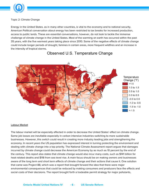

Topic 2: Climate Change

Energy in the United States. as in many other countries, is vital to the economy and to national security. American Political conversation about energy has been restricted to tax breaks for increased production, access to public lands. These are essential conversations, however, do not look to tackle the immense challenge of climate change in the United States. Most of the warming on earth has occurred within the past 35 years, with the five warmest years taking place since 2010. Some of the negative effects of climate change could include longer periods of drought, famines in certain areas, more frequent wildfires and an increase in the intensity of tropical storms.



## Observed U.S. Temperature Change

## Labour Market

The labour market will be especially affected in order to decrease the United States' effect on climate change. Some job losses are inevitable especially in carbon intensive industries switching to more sustainable businesses. However, this switch could result in creating more industry leading jobs and strengthening the economy. In recent years the US population has expressed interest in turning protecting the environment and dealing with climate change into a top priority. The National Climate Assessment report argues that damages incurred by climate change could decrease the American Economy by as much as 10 percent by the end of the century. This report also states that climate change would also incur many costs, such as \$141 billion for heat related deaths and \$118 from sea level rise. A main focus should be on making owners and businesses aware of the long term and short term effects of climate change and their actions that cause it. One solution that came was Project 88, which was a report that brought forward the idea that there were major environmental consequences that could be reduced by making consumers and producers face the effects and social costs of their decisions. The report brought forth a tradeable permit strategy for major pollutants,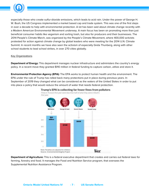

especially those who create sulfur-dioxide emissions, which leads to acid rain. Under the power of George H. W. Bush, the US Congress implemented a market based cap and trade system. This was one of the first steps in over a decade to help with environmental protection. A lot has been said about climate change recently with a Modern American Environmental Movement underway. A main focus has been on promoting more than just beneficial consumer habits like veganism and sorting trash, but also for producers and their businesses. The 2014 People's Climate March, was organized by the People's Climate Movement, where 400,000 activists protested for action against climate change by global leaders who were meeting for the 2014 U.N. Climate Summit. In recent months we have also seen the activism of especially Greta Thunberg, along with other school students to lead school strikes, in over 270 cities globally.

## Key Organizations

**Department of Energy:** This department manages nuclear infrastructure and administers the country's energy policy. In a recent move they granted \$110 million in federal funding to capture carbon, utilize and store it.

**Environmental Protection Agency (EPA):** The EPA works to protect human health and the environment. The EPA under the rule of Trump has rolled back many protections put in place during previous years. In September of 2019 they changed what can be considered as the waters of the United States in order to put into place a policy that would reduce the amount of water that needs federal protection.





**Department of Agriculture:** This is a federal executive department that creates and carries out federal laws for farming, forestry and food. It manages the Food and Nutrition Service program, that oversees the Supplemental Nutrition Assistance Program.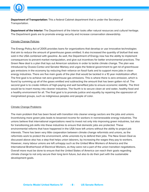

**Department of Transportation:** This a federal Cabinet department that is under the Secretary of Transportation.

**Department of the Interior:** The Department of the Interior looks after natural resources and cultural heritage. The Department goals are to promote energy security and increase conservation stewardship.

## Climate Change Policies

The Energy Policy Act of 2005 provides loans for organizations that develop or use innovative technologies that aim to reduce the amount of greenhouse gases emitted. It also increased the quantity of biofuel that was sold in the USA combined with gasoline. As well, the Department of Energy now has the ability to implement consequences to prevent market manipulation, and give out incentives for better environmental practices. The Green New deal is a plan that lays out American solutions in order to tackle climate change. The plan was introduced by Ocasio-Cortez and Senator Markey and urges the federal government to get rid of greenhouse gas emissions in the economy by reducing their reliance on fossil fuels and to support more jobs in clean energy industries. There are five main goals of the plan that would be tackled in a 10 year mobilization effort. The first goal is to achieve net zero greenhouse gas emissions. This is where there is zero emission, which is found by summing up all of the gases emitted and subtracting the amount that has been gotten rid of. The second goal is to create millions of high-paying and well benefited jobs to ensure economic stability. The third would be to insert money into cleaner industries. The fourth is to secure clean air and water, healthy food and a healthy environment for all. The final goal is to promote justice and equality by repairing the oppression of marginalized groups, such as indigineous peoples and people of color.

## Climate Change Problems

The main problem that has been faced with transition into cleaner energy sectors are the jobs and unions. Incentivising more green jobs leads to lessened income for workers in nonrenewable energy industries. The unions believe that international organizations need to invest not only into improving green industries, but also for transitioning job skills into these industries to ensure that domestic jobs are protected. These environmental reforms that have happened in the USA have left unions without the ability to project job interests. There has been very little cooperation between climate change reformists and unions, as the reformists work to protect the environment, while unionists try to defend their jobs. The New Green Deal as discussed above also has a step that helps union laborers, by increasing the wages they pay to workers. However, many labour unions are left unhappy such as the United Mine Workers of America and the International Brotherhood of Electrical Workers, as they were not a part of the union transition negotiations. Overall more must be done to ensure that the United States of America can reach their goals regarding climate change to not only secure their long term future, but also to do their part with the sustainable development goals.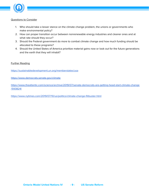

#### Questions to Consider

- 1. Who should take a lesser stance on the climate change problem, the unions or governments who make environmental policy?
- 2. How can proper transition occur between nonrenewable energy industries and cleaner ones and at what rate should they occur?
- 3. Should the Federal government do more to combat climate change and how much funding should be allocated to these programs?
- 4. Should the United States of America prioritize material gains now or look out for the future generations and the earth that they will inhabit?

## Further Reading

<https://sustainabledevelopment.un.org/memberstates/usa>

<https://www.democrats.senate.gov/climate>

[https://www.theatlantic.com/science/archive/2019/07/senate-democrats-are-getting-head-start-climate-change](https://www.theatlantic.com/science/archive/2019/07/senate-democrats-are-getting-head-start-climate-change/593824/) [/593824/](https://www.theatlantic.com/science/archive/2019/07/senate-democrats-are-getting-head-start-climate-change/593824/)

<https://www.nytimes.com/2019/07/10/us/politics/climate-change-filibuster.html>